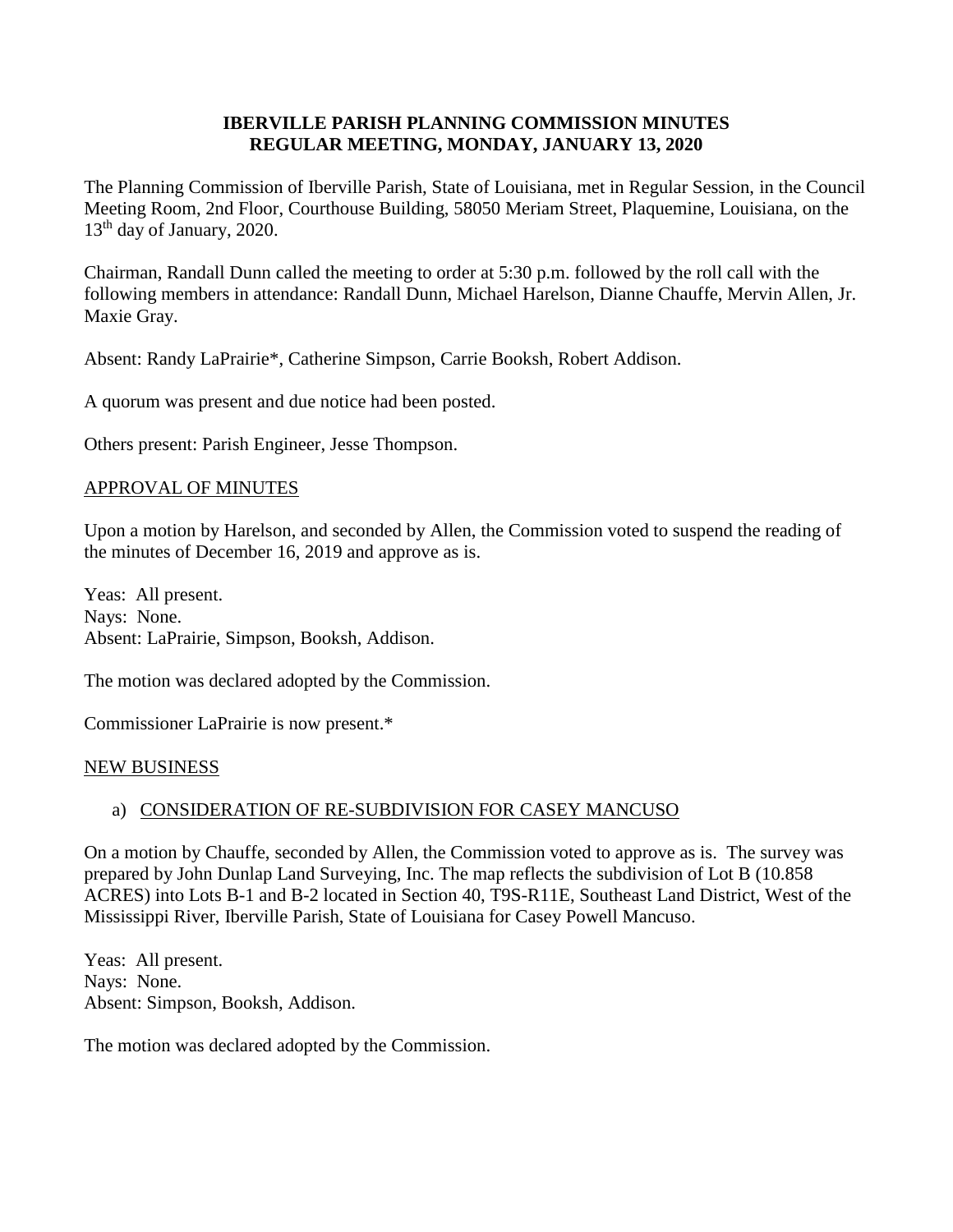# **IBERVILLE PARISH PLANNING COMMISSION MINUTES REGULAR MEETING, MONDAY, JANUARY 13, 2020**

The Planning Commission of Iberville Parish, State of Louisiana, met in Regular Session, in the Council Meeting Room, 2nd Floor, Courthouse Building, 58050 Meriam Street, Plaquemine, Louisiana, on the 13<sup>th</sup> day of January, 2020.

Chairman, Randall Dunn called the meeting to order at 5:30 p.m. followed by the roll call with the following members in attendance: Randall Dunn, Michael Harelson, Dianne Chauffe, Mervin Allen, Jr. Maxie Gray.

Absent: Randy LaPrairie\*, Catherine Simpson, Carrie Booksh, Robert Addison.

A quorum was present and due notice had been posted.

Others present: Parish Engineer, Jesse Thompson.

## APPROVAL OF MINUTES

Upon a motion by Harelson, and seconded by Allen, the Commission voted to suspend the reading of the minutes of December 16, 2019 and approve as is.

Yeas: All present. Nays: None. Absent: LaPrairie, Simpson, Booksh, Addison.

The motion was declared adopted by the Commission.

Commissioner LaPrairie is now present.\*

#### NEW BUSINESS

## a) CONSIDERATION OF RE-SUBDIVISION FOR CASEY MANCUSO

On a motion by Chauffe, seconded by Allen, the Commission voted to approve as is. The survey was prepared by John Dunlap Land Surveying, Inc. The map reflects the subdivision of Lot B (10.858 ACRES) into Lots B-1 and B-2 located in Section 40, T9S-R11E, Southeast Land District, West of the Mississippi River, Iberville Parish, State of Louisiana for Casey Powell Mancuso.

Yeas: All present. Nays: None. Absent: Simpson, Booksh, Addison.

The motion was declared adopted by the Commission.